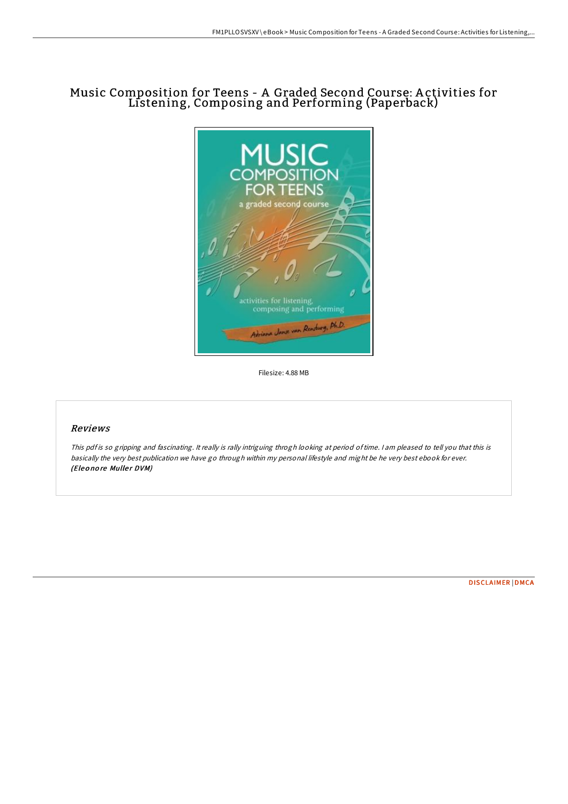# Music Composition for Teens - A Graded Second Course: A ctivities for Listening, Composing and Performing (Paperback)



Filesize: 4.88 MB

## Reviews

This pdf is so gripping and fascinating. It really is rally intriguing throgh looking at period of time. I am pleased to tell you that this is basically the very best publication we have go through within my personal lifestyle and might be he very best ebook for ever. (Eleonore Muller DVM)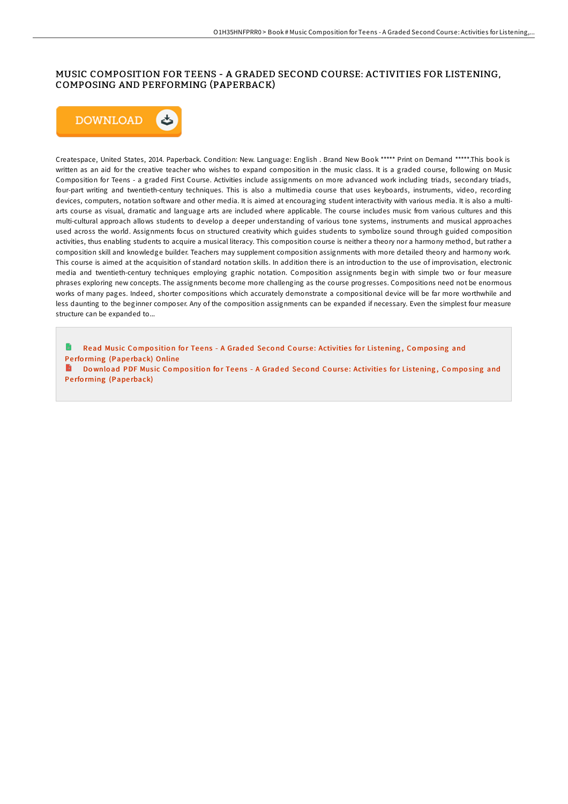## MUSIC COMPOSITION FOR TEENS - A GRADED SECOND COURSE: ACTIVITIES FOR LISTENING, COMPOSING AND PERFORMING (PAPERBACK)



Createspace, United States, 2014. Paperback. Condition: New. Language: English . Brand New Book \*\*\*\*\* Print on Demand \*\*\*\*\*.This book is written as an aid for the creative teacher who wishes to expand composition in the music class. It is a graded course, following on Music Composition for Teens - a graded First Course. Activities include assignments on more advanced work including triads, secondary triads, four-part writing and twentieth-century techniques. This is also a multimedia course that uses keyboards, instruments, video, recording devices, computers, notation software and other media. It is aimed at encouraging student interactivity with various media. It is also a multiarts course as visual, dramatic and language arts are included where applicable. The course includes music from various cultures and this multi-cultural approach allows students to develop a deeper understanding of various tone systems, instruments and musical approaches used across the world. Assignments focus on structured creativity which guides students to symbolize sound through guided composition activities, thus enabling students to acquire a musical literacy. This composition course is neither a theory nor a harmony method, but rather a composition skill and knowledge builder. Teachers may supplement composition assignments with more detailed theory and harmony work. This course is aimed at the acquisition of standard notation skills. In addition there is an introduction to the use of improvisation, electronic media and twentieth-century techniques employing graphic notation. Composition assignments begin with simple two or four measure phrases exploring new concepts. The assignments become more challenging as the course progresses. Compositions need not be enormous works of many pages. Indeed, shorter compositions which accurately demonstrate a compositional device will be far more worthwhile and less daunting to the beginner composer. Any of the composition assignments can be expanded if necessary. Even the simplest four measure structure can be expanded to...

Read Music Composition for Teens - A Graded Second Course: [Activitie](http://almighty24.tech/music-composition-for-teens-a-graded-second-cour.html)s for Listening, Composing and Performing (Paperback) Online

B Download PDF Music Composition for Teens - A Graded Second Course: [Activitie](http://almighty24.tech/music-composition-for-teens-a-graded-second-cour.html)s for Listening, Composing and Performing (Paperback)